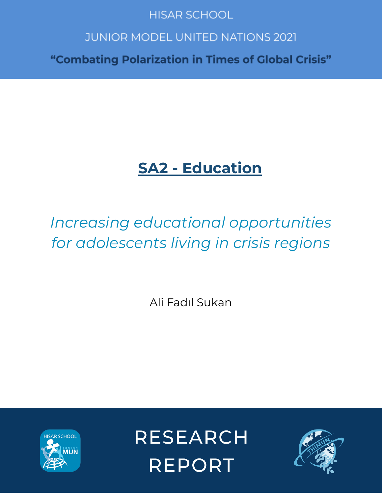## **HISAR SCHOOL**

# **JUNIOR MODEL UNITED NATIONS 2021**

"Combating Polarization in Times of Global Crisis"

# **SA2 - Education**

# *Increasing educational opportunities for adolescents living in crisis regions*

Ali Fadıl Sukan



**RESEARCH REPORT** 

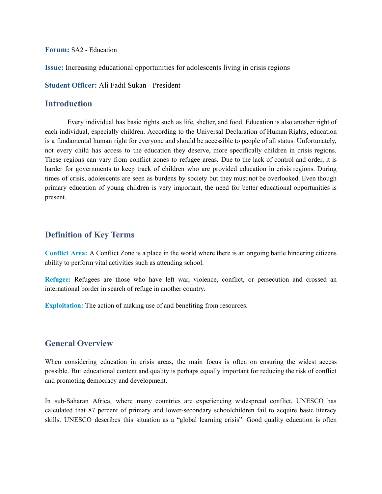**Forum:** SA2 - Education

**Issue:** Increasing educational opportunities for adolescents living in crisis regions

**Student Officer:** Ali Fadıl Sukan - President

#### **Introduction**

Every individual has basic rights such as life, shelter, and food. Education is also another right of each individual, especially children. According to the Universal Declaration of Human Rights, education is a fundamental human right for everyone and should be accessible to people of all status. Unfortunately, not every child has access to the education they deserve, more specifically children in crisis regions. These regions can vary from conflict zones to refugee areas. Due to the lack of control and order, it is harder for governments to keep track of children who are provided education in crisis regions. During times of crisis, adolescents are seen as burdens by society but they must not be overlooked. Even though primary education of young children is very important, the need for better educational opportunities is present.

#### **Definition of Key Terms**

**Conflict Area:** A Conflict Zone is a place in the world where there is an ongoing battle hindering citizens ability to perform vital activities such as attending school.

**Refugee:** Refugees are those who have left war, violence, conflict, or persecution and crossed an international border in search of refuge in another country.

**Exploitation:** The action of making use of and benefiting from resources.

#### **General Overview**

When considering education in crisis areas, the main focus is often on ensuring the widest access possible. But educational content and quality is perhaps equally important for reducing the risk of conflict and promoting democracy and development.

In sub-Saharan Africa, where many countries are experiencing widespread conflict, UNESCO has [calculated](https://en.unesco.org/gem-report/report/2017/accountability-education) that 87 percent of primary and lower-secondary schoolchildren fail to acquire basic literacy skills. UNESCO describes this situation as a "global learning crisis". Good quality education is often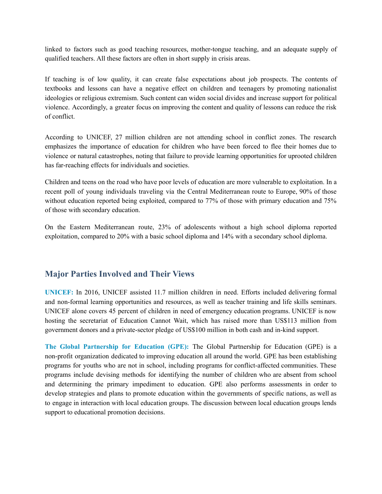linked to factors such as good teaching resources, mother-tongue teaching, and an adequate supply of qualified teachers. All these factors are often in short supply in crisis areas.

If teaching is of low quality, it can create false expectations about job prospects. The contents of textbooks and lessons can have a negative effect on children and teenagers by promoting nationalist ideologies or religious extremism. Such content can widen social divides and increase support for political violence. Accordingly, a greater focus on improving the content and quality of lessons can reduce the risk of conflict.

According to UNICEF, 27 million children are not attending school in conflict zones. The research emphasizes the importance of education for children who have been forced to flee their homes due to violence or natural catastrophes, noting that failure to provide learning opportunities for uprooted children has far-reaching effects for individuals and societies.

Children and teens on the road who have poor levels of education are more vulnerable to exploitation. In a recent poll of young individuals traveling via the Central Mediterranean route to Europe, 90% of those without education reported being exploited, compared to 77% of those with primary education and 75% of those with secondary education.

On the Eastern Mediterranean route, 23% of adolescents without a high school diploma reported exploitation, compared to 20% with a basic school diploma and 14% with a secondary school diploma.

## **Major Parties Involved and Their Views**

**UNICEF:** In 2016, UNICEF assisted 11.7 million children in need. Efforts included delivering formal and non-formal learning opportunities and resources, as well as teacher training and life skills seminars. UNICEF alone covers 45 percent of children in need of emergency education programs. UNICEF is now hosting the secretariat of Education Cannot Wait, which has raised more than US\$113 million from government donors and a private-sector pledge of US\$100 million in both cash and in-kind support.

**The Global Partnership for Education (GPE):** The Global Partnership for Education (GPE) is a non-profit organization dedicated to improving education all around the world. GPE has been establishing programs for youths who are not in school, including programs for conflict-affected communities. These programs include devising methods for identifying the number of children who are absent from school and determining the primary impediment to education. GPE also performs assessments in order to develop strategies and plans to promote education within the governments of specific nations, as well as to engage in interaction with local education groups. The discussion between local education groups lends support to educational promotion decisions.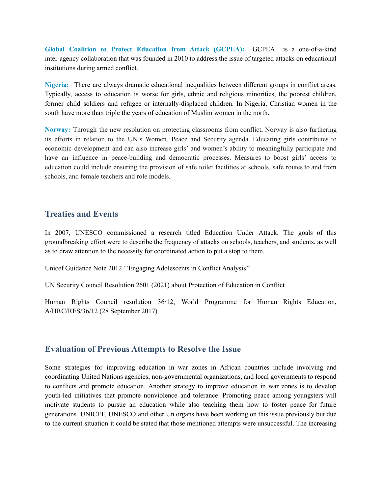**Global Coalition to Protect Education from Attack (GCPEA):** GCPEA is a one-of-a-kind inter-agency collaboration that was founded in 2010 to address the issue of targeted attacks on educational institutions during armed conflict.

**Nigeria:** There are always dramatic educational inequalities between different groups in conflict areas. Typically, access to education is worse for girls, ethnic and religious minorities, the poorest children, former child soldiers and refugee or internally-displaced children. In [Nigeria](https://www.prio.org/Publications/Publication/?x=10661), Christian women in the south have more than triple the years of education of Muslim women in the north.

**Norway:** Through the new resolution on protecting classrooms from conflict, Norway is also furthering its efforts in relation to the UN's Women, Peace and Security agenda. Educating girls contributes to economic [development](http://disde.minedu.gob.pe/bitstream/handle/20.500.12799/4481/What%20Works%20in%20Girl%C2%B4s%20Education%20evidence%20for%20the%20World%C2%B4s%20Best%20Investment.pdf?sequence=1&isAllowed=y) and can also increase girls' and women's ability to meaningfully participate and have an influence in peace-building and democratic processes. Measures to boost girls' access to education could include ensuring the provision of safe toilet facilities at schools, safe routes to and from schools, and female teachers and role models.

#### **Treaties and Events**

In 2007, UNESCO commissioned a research titled Education Under Attack. The goals of this groundbreaking effort were to describe the frequency of attacks on schools, teachers, and students, as well as to draw attention to the necessity for coordinated action to put a stop to them.

Unicef Guidance Note 2012 ''Engaging Adolescents in Conflict Analysis''

UN Security Council Resolution 2601 (2021) about Protection of Education in Conflict

Human Rights Council resolution 36/12, World Programme for Human Rights Education, A/HRC/RES/36/12 (28 September 2017)

#### **Evaluation of Previous Attempts to Resolve the Issue**

Some strategies for improving education in war zones in African countries include involving and coordinating United Nations agencies, non-governmental organizations, and local governments to respond to conflicts and promote education. Another strategy to improve education in war zones is to develop youth-led initiatives that promote nonviolence and tolerance. Promoting peace among youngsters will motivate students to pursue an education while also teaching them how to foster peace for future generations. UNICEF, UNESCO and other Un organs have been working on this issue previously but due to the current situation it could be stated that those mentioned attempts were unsuccessful. The increasing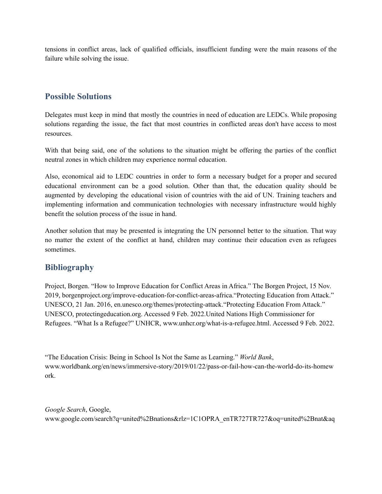tensions in conflict areas, lack of qualified officials, insufficient funding were the main reasons of the failure while solving the issue.

### **Possible Solutions**

Delegates must keep in mind that mostly the countries in need of education are LEDCs. While proposing solutions regarding the issue, the fact that most countries in conflicted areas don't have access to most resources.

With that being said, one of the solutions to the situation might be offering the parties of the conflict neutral zones in which children may experience normal education.

Also, economical aid to LEDC countries in order to form a necessary budget for a proper and secured educational environment can be a good solution. Other than that, the education quality should be augmented by developing the educational vision of countries with the aid of UN. Training teachers and implementing information and communication technologies with necessary infrastructure would highly benefit the solution process of the issue in hand.

Another solution that may be presented is integrating the UN personnel better to the situation. That way no matter the extent of the conflict at hand, children may continue their education even as refugees sometimes.

### **Bibliography**

Project, Borgen. "How to Improve Education for Conflict Areas in Africa." The Borgen Project, 15 Nov. 2019, borgenproject.org/improve-education-for-conflict-areas-africa."Protecting Education from Attack." UNESCO, 21 Jan. 2016, en.unesco.org/themes/protecting-attack."Protecting Education From Attack." UNESCO, protectingeducation.org. Accessed 9 Feb. 2022.United Nations High Commissioner for Refugees. "What Is a Refugee?" UNHCR, www.unhcr.org/what-is-a-refugee.html. Accessed 9 Feb. 2022.

"The Education Crisis: Being in School Is Not the Same as Learning." *World Bank*, www.worldbank.org/en/news/immersive-story/2019/01/22/pass-or-fail-how-can-the-world-do-its-homew ork.

*Google Search*, Google, www.google.com/search?q=united%2Bnations&rlz=1C1OPRA\_enTR727TR727&oq=united%2Bnat&aq